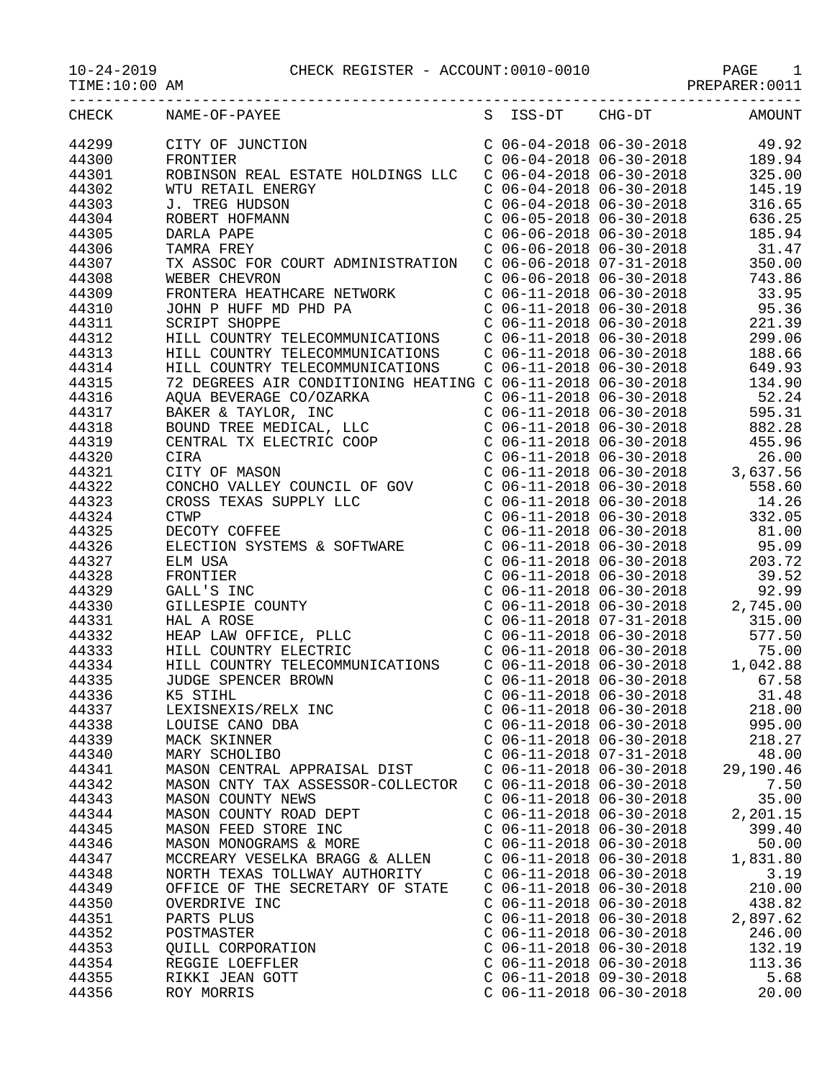## 10-24-2019 CHECK REGISTER - ACCOUNT:0010-0010 PAGE 1

PREPARER:0011

| CHECK | NAME-OF-PAYEE                                                                                                                                                                                                                                                                                                                                                                                                                                                                                                                                                                                                |                           | S ISS-DT CHG-DT AMOUNT                                                                                                                                                                                                                                  |
|-------|--------------------------------------------------------------------------------------------------------------------------------------------------------------------------------------------------------------------------------------------------------------------------------------------------------------------------------------------------------------------------------------------------------------------------------------------------------------------------------------------------------------------------------------------------------------------------------------------------------------|---------------------------|---------------------------------------------------------------------------------------------------------------------------------------------------------------------------------------------------------------------------------------------------------|
| 44299 | CITY OF JUNCTION<br>FRONTIER                                                                                                                                                                                                                                                                                                                                                                                                                                                                                                                                                                                 |                           | $\begin{tabular}{lllllllllll} $\text{C} & 06-04-2018 & 06-30-2018 & & & 49.92 \\ $\text{C} & 06-04-2018 & 06-30-2018 & & & 189.94 \\ $\text{C} & 06-04-2018 & 06-30-2018 & & 325.00 \\ $\text{C} & 06-04-2018 & 06-30-2018 & & 145.19 \\ \end{tabular}$ |
| 44300 | FRONTIER                                                                                                                                                                                                                                                                                                                                                                                                                                                                                                                                                                                                     |                           |                                                                                                                                                                                                                                                         |
| 44301 | ROBINSON REAL ESTATE HOLDINGS LLC                                                                                                                                                                                                                                                                                                                                                                                                                                                                                                                                                                            |                           |                                                                                                                                                                                                                                                         |
| 44302 | WTU RETAIL ENERGY                                                                                                                                                                                                                                                                                                                                                                                                                                                                                                                                                                                            |                           |                                                                                                                                                                                                                                                         |
| 44303 | ERGY<br>N<br>N<br>N<br>J. TREG HUDSON                                                                                                                                                                                                                                                                                                                                                                                                                                                                                                                                                                        |                           | $C$ 06-04-2018 06-30-2018 316.65                                                                                                                                                                                                                        |
| 44304 | ROBERT HOFMANN                                                                                                                                                                                                                                                                                                                                                                                                                                                                                                                                                                                               |                           | $C$ 06-05-2018 06-30-2018 636.25                                                                                                                                                                                                                        |
| 44305 |                                                                                                                                                                                                                                                                                                                                                                                                                                                                                                                                                                                                              |                           |                                                                                                                                                                                                                                                         |
| 44306 | DARLA PAPE<br>TAMRA FREY C 06-06-2018 06-30-2018 185.94<br>TX ASSOC FOR COURT ADMINISTRATION C 06-06-2018 07-31-2018 350.00                                                                                                                                                                                                                                                                                                                                                                                                                                                                                  |                           |                                                                                                                                                                                                                                                         |
| 44307 |                                                                                                                                                                                                                                                                                                                                                                                                                                                                                                                                                                                                              |                           |                                                                                                                                                                                                                                                         |
| 44308 |                                                                                                                                                                                                                                                                                                                                                                                                                                                                                                                                                                                                              |                           |                                                                                                                                                                                                                                                         |
|       |                                                                                                                                                                                                                                                                                                                                                                                                                                                                                                                                                                                                              |                           |                                                                                                                                                                                                                                                         |
| 44309 | WEBER CHEVRON<br>FRONTERA HEATHCARE NETWORK C 06-06-2018 06-30-2018 743.86<br>TOWN B HUEF MD BID BA                                                                                                                                                                                                                                                                                                                                                                                                                                                                                                          |                           |                                                                                                                                                                                                                                                         |
| 44310 | JOHN P HUFF MD PHD PA<br>SCRIPT SHOPPE<br>SCRIPT SHOPPE<br>ELECOMMUNICATIONS<br>HILL COUNTRY TELECOMMUNICATIONS<br>HILL COUNTRY TELECOMMUNICATIONS<br>C 06-11-2018 06-30-2018<br>C 06-11-2018 06-30-2018<br>C 06-11-2018 06-30-2018<br>C 06-11-2                                                                                                                                                                                                                                                                                                                                                             |                           |                                                                                                                                                                                                                                                         |
| 44311 |                                                                                                                                                                                                                                                                                                                                                                                                                                                                                                                                                                                                              |                           |                                                                                                                                                                                                                                                         |
| 44312 |                                                                                                                                                                                                                                                                                                                                                                                                                                                                                                                                                                                                              |                           |                                                                                                                                                                                                                                                         |
| 44313 |                                                                                                                                                                                                                                                                                                                                                                                                                                                                                                                                                                                                              |                           |                                                                                                                                                                                                                                                         |
| 44314 | HILL COUNTRY TELECOMMUNICATIONS  C 06-11-2018 06-30-2018  649.93                                                                                                                                                                                                                                                                                                                                                                                                                                                                                                                                             |                           |                                                                                                                                                                                                                                                         |
| 44315 |                                                                                                                                                                                                                                                                                                                                                                                                                                                                                                                                                                                                              |                           |                                                                                                                                                                                                                                                         |
| 44316 |                                                                                                                                                                                                                                                                                                                                                                                                                                                                                                                                                                                                              |                           |                                                                                                                                                                                                                                                         |
| 44317 |                                                                                                                                                                                                                                                                                                                                                                                                                                                                                                                                                                                                              |                           |                                                                                                                                                                                                                                                         |
| 44318 |                                                                                                                                                                                                                                                                                                                                                                                                                                                                                                                                                                                                              |                           |                                                                                                                                                                                                                                                         |
| 44319 |                                                                                                                                                                                                                                                                                                                                                                                                                                                                                                                                                                                                              |                           |                                                                                                                                                                                                                                                         |
| 44320 |                                                                                                                                                                                                                                                                                                                                                                                                                                                                                                                                                                                                              |                           |                                                                                                                                                                                                                                                         |
| 44321 |                                                                                                                                                                                                                                                                                                                                                                                                                                                                                                                                                                                                              |                           |                                                                                                                                                                                                                                                         |
| 44322 |                                                                                                                                                                                                                                                                                                                                                                                                                                                                                                                                                                                                              |                           |                                                                                                                                                                                                                                                         |
| 44323 |                                                                                                                                                                                                                                                                                                                                                                                                                                                                                                                                                                                                              |                           |                                                                                                                                                                                                                                                         |
| 44324 |                                                                                                                                                                                                                                                                                                                                                                                                                                                                                                                                                                                                              |                           |                                                                                                                                                                                                                                                         |
| 44325 |                                                                                                                                                                                                                                                                                                                                                                                                                                                                                                                                                                                                              |                           |                                                                                                                                                                                                                                                         |
| 44326 |                                                                                                                                                                                                                                                                                                                                                                                                                                                                                                                                                                                                              |                           |                                                                                                                                                                                                                                                         |
| 44327 | $\begin{tabular}{l c c c c c c} {\it HILL COUNTRYT ELLCCOMMUNICATIONS} & $\cal C~06-11-2018 & 06-30-2018 & 649.93 \\ \hline 72~DERERES AIR CONDTIONING HERTING C 06-11-2018 & 06-30-2018 & 134.90 \\ \hline {\it BQUND TREE MENTROL}, ~INC & $\cal C~06-11-2018 & 06-30-2018 & 595.31 \\ \hline {\it BQUND TREE MENTROL}, ~LLC & $\cal C~06-11-2018 & 06-$<br>ELECTION SYSTEMS & SOFTWARE<br>ELECTION SYSTEMS & SOFTWARE<br>CO6-11-2018 06-30-2018<br>CO6-11-2018 06-30-2018<br>CO6-11-2018 06-30-2018<br>CO6-11-2018 06-30-2018<br>CO6-11-2018 06-30-2018<br>CO6-11-2018 06-30-2018<br>HEAP LAW OFFICE, PLL |                           |                                                                                                                                                                                                                                                         |
| 44328 |                                                                                                                                                                                                                                                                                                                                                                                                                                                                                                                                                                                                              |                           |                                                                                                                                                                                                                                                         |
| 44329 |                                                                                                                                                                                                                                                                                                                                                                                                                                                                                                                                                                                                              |                           |                                                                                                                                                                                                                                                         |
| 44330 |                                                                                                                                                                                                                                                                                                                                                                                                                                                                                                                                                                                                              |                           |                                                                                                                                                                                                                                                         |
| 44331 |                                                                                                                                                                                                                                                                                                                                                                                                                                                                                                                                                                                                              |                           |                                                                                                                                                                                                                                                         |
| 44332 |                                                                                                                                                                                                                                                                                                                                                                                                                                                                                                                                                                                                              |                           |                                                                                                                                                                                                                                                         |
| 44333 |                                                                                                                                                                                                                                                                                                                                                                                                                                                                                                                                                                                                              |                           |                                                                                                                                                                                                                                                         |
| 44334 |                                                                                                                                                                                                                                                                                                                                                                                                                                                                                                                                                                                                              |                           |                                                                                                                                                                                                                                                         |
| 44335 |                                                                                                                                                                                                                                                                                                                                                                                                                                                                                                                                                                                                              |                           |                                                                                                                                                                                                                                                         |
| 44336 |                                                                                                                                                                                                                                                                                                                                                                                                                                                                                                                                                                                                              |                           |                                                                                                                                                                                                                                                         |
|       |                                                                                                                                                                                                                                                                                                                                                                                                                                                                                                                                                                                                              |                           |                                                                                                                                                                                                                                                         |
| 44337 |                                                                                                                                                                                                                                                                                                                                                                                                                                                                                                                                                                                                              |                           |                                                                                                                                                                                                                                                         |
| 44338 | LOUISE CANO DBA                                                                                                                                                                                                                                                                                                                                                                                                                                                                                                                                                                                              | $C$ 06-11-2018 06-30-2018 | 995.00                                                                                                                                                                                                                                                  |
| 44339 | MACK SKINNER                                                                                                                                                                                                                                                                                                                                                                                                                                                                                                                                                                                                 | $C$ 06-11-2018 06-30-2018 | 218.27                                                                                                                                                                                                                                                  |
| 44340 | MARY SCHOLIBO                                                                                                                                                                                                                                                                                                                                                                                                                                                                                                                                                                                                | $C$ 06-11-2018 07-31-2018 | 48.00                                                                                                                                                                                                                                                   |
| 44341 | MASON CENTRAL APPRAISAL DIST                                                                                                                                                                                                                                                                                                                                                                                                                                                                                                                                                                                 | $C$ 06-11-2018 06-30-2018 | 29,190.46                                                                                                                                                                                                                                               |
| 44342 | MASON CNTY TAX ASSESSOR-COLLECTOR                                                                                                                                                                                                                                                                                                                                                                                                                                                                                                                                                                            | $C$ 06-11-2018 06-30-2018 | 7.50                                                                                                                                                                                                                                                    |
| 44343 | MASON COUNTY NEWS                                                                                                                                                                                                                                                                                                                                                                                                                                                                                                                                                                                            | $C$ 06-11-2018 06-30-2018 | 35.00                                                                                                                                                                                                                                                   |
| 44344 | MASON COUNTY ROAD DEPT                                                                                                                                                                                                                                                                                                                                                                                                                                                                                                                                                                                       | $C$ 06-11-2018 06-30-2018 | 2,201.15                                                                                                                                                                                                                                                |
| 44345 | MASON FEED STORE INC                                                                                                                                                                                                                                                                                                                                                                                                                                                                                                                                                                                         | $C$ 06-11-2018 06-30-2018 | 399.40                                                                                                                                                                                                                                                  |
| 44346 | MASON MONOGRAMS & MORE                                                                                                                                                                                                                                                                                                                                                                                                                                                                                                                                                                                       | $C$ 06-11-2018 06-30-2018 | 50.00                                                                                                                                                                                                                                                   |
| 44347 | MCCREARY VESELKA BRAGG & ALLEN                                                                                                                                                                                                                                                                                                                                                                                                                                                                                                                                                                               | $C$ 06-11-2018 06-30-2018 | 1,831.80                                                                                                                                                                                                                                                |
| 44348 | NORTH TEXAS TOLLWAY AUTHORITY                                                                                                                                                                                                                                                                                                                                                                                                                                                                                                                                                                                | $C$ 06-11-2018 06-30-2018 | 3.19                                                                                                                                                                                                                                                    |
| 44349 | OFFICE OF THE SECRETARY OF STATE                                                                                                                                                                                                                                                                                                                                                                                                                                                                                                                                                                             | $C$ 06-11-2018 06-30-2018 | 210.00                                                                                                                                                                                                                                                  |
| 44350 | OVERDRIVE INC                                                                                                                                                                                                                                                                                                                                                                                                                                                                                                                                                                                                | $C$ 06-11-2018 06-30-2018 | 438.82                                                                                                                                                                                                                                                  |
| 44351 | PARTS PLUS                                                                                                                                                                                                                                                                                                                                                                                                                                                                                                                                                                                                   | $C$ 06-11-2018 06-30-2018 | 2,897.62                                                                                                                                                                                                                                                |
| 44352 | POSTMASTER                                                                                                                                                                                                                                                                                                                                                                                                                                                                                                                                                                                                   | $C$ 06-11-2018 06-30-2018 | 246.00                                                                                                                                                                                                                                                  |
| 44353 | QUILL CORPORATION                                                                                                                                                                                                                                                                                                                                                                                                                                                                                                                                                                                            | $C$ 06-11-2018 06-30-2018 | 132.19                                                                                                                                                                                                                                                  |
| 44354 | REGGIE LOEFFLER                                                                                                                                                                                                                                                                                                                                                                                                                                                                                                                                                                                              | $C$ 06-11-2018 06-30-2018 | 113.36                                                                                                                                                                                                                                                  |
| 44355 | RIKKI JEAN GOTT                                                                                                                                                                                                                                                                                                                                                                                                                                                                                                                                                                                              | $C$ 06-11-2018 09-30-2018 | 5.68                                                                                                                                                                                                                                                    |
| 44356 | ROY MORRIS                                                                                                                                                                                                                                                                                                                                                                                                                                                                                                                                                                                                   | $C$ 06-11-2018 06-30-2018 | 20.00                                                                                                                                                                                                                                                   |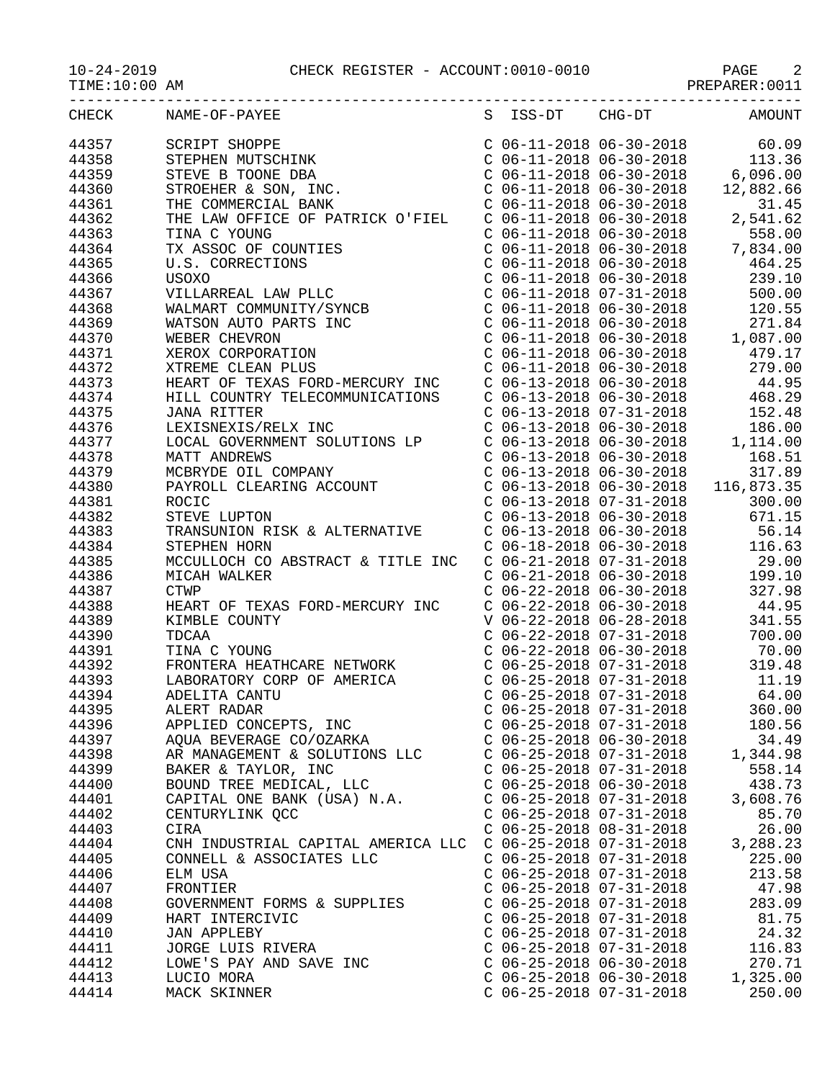10-24-2019 CHECK REGISTER - ACCOUNT:0010-0010 PAGE 2

| CHECK | NAME-OF-PAYEE                                                                                                                                                                                                                                     |                           |                           | S ISS-DT CHG-DT AMOUNT                                                                                                                                                                                                                        |
|-------|---------------------------------------------------------------------------------------------------------------------------------------------------------------------------------------------------------------------------------------------------|---------------------------|---------------------------|-----------------------------------------------------------------------------------------------------------------------------------------------------------------------------------------------------------------------------------------------|
| 44357 | SCRIPT SHOPPE<br>STEPHEN MUTSCHINK<br>STEVE B TOONE DBA<br>STROEHER & SON, INC.<br>THE COMMERCIAL BANK                                                                                                                                            |                           |                           | $\begin{tabular}{lllllllllll} $\text{C} & 06-11-2018 & 06-30-2018 & 60.09 \\ $\text{C} & 06-11-2018 & 06-30-2018 & 113.36 \\ $\text{C} & 06-11-2018 & 06-30-2018 & 6,096.00 \\ $\text{C} & 06-11-2018 & 06-30-2018 & 12,882.66 \end{tabular}$ |
| 44358 |                                                                                                                                                                                                                                                   |                           |                           |                                                                                                                                                                                                                                               |
| 44359 |                                                                                                                                                                                                                                                   |                           |                           |                                                                                                                                                                                                                                               |
| 44360 |                                                                                                                                                                                                                                                   |                           |                           |                                                                                                                                                                                                                                               |
| 44361 |                                                                                                                                                                                                                                                   |                           | $C$ 06-11-2018 06-30-2018 | 31.45                                                                                                                                                                                                                                         |
| 44362 | THE LAW OFFICE OF PATRICK O'FIEL                                                                                                                                                                                                                  |                           |                           | $C$ 06-11-2018 06-30-2018 2,541.62                                                                                                                                                                                                            |
| 44363 | TINA C YOUNG                                                                                                                                                                                                                                      |                           |                           |                                                                                                                                                                                                                                               |
| 44364 | TINA C YOUNG<br>TX ASSOC OF COUNTIES<br>U.S. CORRECTIONS<br>USOXO<br>VILLARREAL LAW PLLC<br>WALMART COMMUNITY/SYNCB<br>WATSON AUTO PARTS INC<br>WEBER CHEVRON<br>XEROX CORPORATION<br>XTREME CLEAN PLUS<br>VIREME CLEAN PLUS                      |                           |                           | C 06-11-2018 06-30-2018<br>C 06-11-2018 06-30-2018<br>C 06-11-2018 06-30-2018<br>C 06-11-2018 06-30-2018<br>C 06-11-2018 06-30-2018<br>239.10                                                                                                 |
| 44365 |                                                                                                                                                                                                                                                   |                           |                           |                                                                                                                                                                                                                                               |
| 44366 |                                                                                                                                                                                                                                                   |                           |                           |                                                                                                                                                                                                                                               |
| 44367 |                                                                                                                                                                                                                                                   |                           |                           | $C$ 06-11-2018 07-31-2018 500.00                                                                                                                                                                                                              |
| 44368 |                                                                                                                                                                                                                                                   |                           |                           |                                                                                                                                                                                                                                               |
| 44369 |                                                                                                                                                                                                                                                   |                           |                           |                                                                                                                                                                                                                                               |
| 44370 |                                                                                                                                                                                                                                                   |                           |                           | C 06-11-2018 06-30-2018<br>C 06-11-2018 06-30-2018<br>C 06-11-2018 06-30-2018<br>C 06-11-2018 06-30-2018<br>C 06-11-2018 06-30-2018<br>C 06-11-2018 06-30-2018<br>C 06-11-2018 06-30-2018<br>279.00                                           |
| 44371 |                                                                                                                                                                                                                                                   |                           |                           |                                                                                                                                                                                                                                               |
| 44372 |                                                                                                                                                                                                                                                   |                           |                           |                                                                                                                                                                                                                                               |
| 44373 | HEART OF TEXAS FORD-MERCURY INC                                                                                                                                                                                                                   |                           |                           | $C$ 06-13-2018 06-30-2018 44.95                                                                                                                                                                                                               |
| 44374 | HILL COUNTRY TELECOMMUNICATIONS                                                                                                                                                                                                                   |                           |                           |                                                                                                                                                                                                                                               |
| 44375 |                                                                                                                                                                                                                                                   |                           |                           |                                                                                                                                                                                                                                               |
| 44376 |                                                                                                                                                                                                                                                   |                           |                           |                                                                                                                                                                                                                                               |
|       |                                                                                                                                                                                                                                                   |                           |                           | C 06-13-2018 06-30-2018 468.29<br>C 06-13-2018 07-31-2018 152.48<br>C 06-13-2018 06-30-2018 186.00<br>C 06-13-2018 06-30-2018 1,114.00                                                                                                        |
| 44377 |                                                                                                                                                                                                                                                   |                           |                           |                                                                                                                                                                                                                                               |
| 44378 |                                                                                                                                                                                                                                                   |                           |                           |                                                                                                                                                                                                                                               |
| 44379 |                                                                                                                                                                                                                                                   |                           |                           |                                                                                                                                                                                                                                               |
| 44380 |                                                                                                                                                                                                                                                   |                           |                           |                                                                                                                                                                                                                                               |
| 44381 |                                                                                                                                                                                                                                                   |                           |                           |                                                                                                                                                                                                                                               |
| 44382 | JANA RITTER<br>LEXISNEXIS/RELX INC<br>LOCAL GOVERNMENT SOLUTIONS LP<br>MATT ANDREWS<br>MCBRYDE OIL COMPANY<br>PAYROLL CLEARING ACCOUNT<br>ROCIC<br>STEVE LUPTON<br>TRANSUNION RISK & ALTERNATIVE<br>CTEVE LUPTON<br>TRANSUNION RISK & ALTERNATIVE |                           |                           | C 06-13-2018 06-30-2018<br>C 06-13-2018 06-30-2018 168.51<br>C 06-13-2018 06-30-2018 317.89<br>C 06-13-2018 06-30-2018 116,873.35<br>C 06-13-2018 07-31-2018 300.00<br>C 06-13-2018 06-30-2018 671.15<br>C 06-13-2018 06-30-2018 56.14        |
| 44383 |                                                                                                                                                                                                                                                   |                           |                           |                                                                                                                                                                                                                                               |
| 44384 | STEPHEN HORN                                                                                                                                                                                                                                      |                           |                           | $C$ 06-18-2018 06-30-2018 116.63                                                                                                                                                                                                              |
| 44385 | MCCULLOCH CO ABSTRACT & TITLE INC                                                                                                                                                                                                                 |                           |                           |                                                                                                                                                                                                                                               |
| 44386 | MICAH WALKER                                                                                                                                                                                                                                      |                           |                           | $\begin{array}{llllll} \mbox{C} & 06-21-2018 & 07-31-2018 & & 29.00 \\ \mbox{C} & 06-21-2018 & 06-30-2018 & & 199.10 \\ \mbox{C} & 06-22-2018 & 06-30-2018 & & 327.98 \end{array}$                                                            |
| 44387 | <b>CTWP</b>                                                                                                                                                                                                                                       |                           |                           |                                                                                                                                                                                                                                               |
| 44388 | HEART OF TEXAS FORD-MERCURY INC                                                                                                                                                                                                                   |                           |                           | $C$ 06-22-2018 06-30-2018 44.95                                                                                                                                                                                                               |
| 44389 | KIMBLE COUNTY                                                                                                                                                                                                                                     |                           | V 06-22-2018 06-28-2018   | 341.55                                                                                                                                                                                                                                        |
| 44390 | TDCAA                                                                                                                                                                                                                                             |                           | $C$ 06-22-2018 07-31-2018 | 700.00                                                                                                                                                                                                                                        |
| 44391 | FRONTERA HEATHCARE NETWORK<br>LABORATORY COPP OF ALLES                                                                                                                                                                                            |                           |                           | $\begin{array}{llll} \mbox{C} & 06-22-2018 & 06-30-2018 & 70.00 \\ \mbox{C} & 06-25-2018 & 07-31-2018 & 319.48 \\ \mbox{C} & 06-25-2018 & 07-31-2018 & 11.19 \end{array}$                                                                     |
| 44392 | FRONTERA HEATHCARE NETWORK<br>LABORATORY CORP OF AMERICA                                                                                                                                                                                          |                           |                           |                                                                                                                                                                                                                                               |
| 44393 |                                                                                                                                                                                                                                                   |                           |                           |                                                                                                                                                                                                                                               |
| 44394 |                                                                                                                                                                                                                                                   |                           | $C$ 06-25-2018 07-31-2018 | 64.00                                                                                                                                                                                                                                         |
| 44395 | ALERT RADAR                                                                                                                                                                                                                                       | $C$ 06-25-2018 07-31-2018 |                           | 360.00                                                                                                                                                                                                                                        |
| 44396 | APPLIED CONCEPTS, INC                                                                                                                                                                                                                             | $C$ 06-25-2018 07-31-2018 |                           | 180.56                                                                                                                                                                                                                                        |
| 44397 | AQUA BEVERAGE CO/OZARKA                                                                                                                                                                                                                           | $C$ 06-25-2018 06-30-2018 |                           | 34.49                                                                                                                                                                                                                                         |
| 44398 | AR MANAGEMENT & SOLUTIONS LLC                                                                                                                                                                                                                     | $C$ 06-25-2018 07-31-2018 |                           | 1,344.98                                                                                                                                                                                                                                      |
| 44399 | BAKER & TAYLOR, INC                                                                                                                                                                                                                               | $C$ 06-25-2018 07-31-2018 |                           | 558.14                                                                                                                                                                                                                                        |
| 44400 | BOUND TREE MEDICAL, LLC                                                                                                                                                                                                                           | $C$ 06-25-2018 06-30-2018 |                           | 438.73                                                                                                                                                                                                                                        |
| 44401 | CAPITAL ONE BANK (USA) N.A.                                                                                                                                                                                                                       | $C$ 06-25-2018 07-31-2018 |                           | 3,608.76                                                                                                                                                                                                                                      |
| 44402 | CENTURYLINK QCC                                                                                                                                                                                                                                   | $C$ 06-25-2018 07-31-2018 |                           | 85.70                                                                                                                                                                                                                                         |
| 44403 | CIRA                                                                                                                                                                                                                                              | $C$ 06-25-2018 08-31-2018 |                           | 26.00                                                                                                                                                                                                                                         |
| 44404 | CNH INDUSTRIAL CAPITAL AMERICA LLC                                                                                                                                                                                                                | $C$ 06-25-2018 07-31-2018 |                           | 3,288.23                                                                                                                                                                                                                                      |
| 44405 | CONNELL & ASSOCIATES LLC                                                                                                                                                                                                                          | $C$ 06-25-2018 07-31-2018 |                           | 225.00                                                                                                                                                                                                                                        |
| 44406 | ELM USA                                                                                                                                                                                                                                           | $C$ 06-25-2018 07-31-2018 |                           | 213.58                                                                                                                                                                                                                                        |
| 44407 | FRONTIER                                                                                                                                                                                                                                          | $C$ 06-25-2018 07-31-2018 |                           | 47.98                                                                                                                                                                                                                                         |
| 44408 | GOVERNMENT FORMS & SUPPLIES                                                                                                                                                                                                                       | $C$ 06-25-2018 07-31-2018 |                           | 283.09                                                                                                                                                                                                                                        |
| 44409 | HART INTERCIVIC                                                                                                                                                                                                                                   | $C$ 06-25-2018 07-31-2018 |                           | 81.75                                                                                                                                                                                                                                         |
| 44410 | JAN APPLEBY                                                                                                                                                                                                                                       | $C$ 06-25-2018 07-31-2018 |                           | 24.32                                                                                                                                                                                                                                         |
| 44411 | JORGE LUIS RIVERA                                                                                                                                                                                                                                 | $C$ 06-25-2018 07-31-2018 |                           | 116.83                                                                                                                                                                                                                                        |
| 44412 | LOWE'S PAY AND SAVE INC                                                                                                                                                                                                                           | $C$ 06-25-2018 06-30-2018 |                           | 270.71                                                                                                                                                                                                                                        |
| 44413 | LUCIO MORA                                                                                                                                                                                                                                        | $C$ 06-25-2018 06-30-2018 |                           | 1,325.00                                                                                                                                                                                                                                      |
| 44414 | MACK SKINNER                                                                                                                                                                                                                                      | $C$ 06-25-2018 07-31-2018 |                           | 250.00                                                                                                                                                                                                                                        |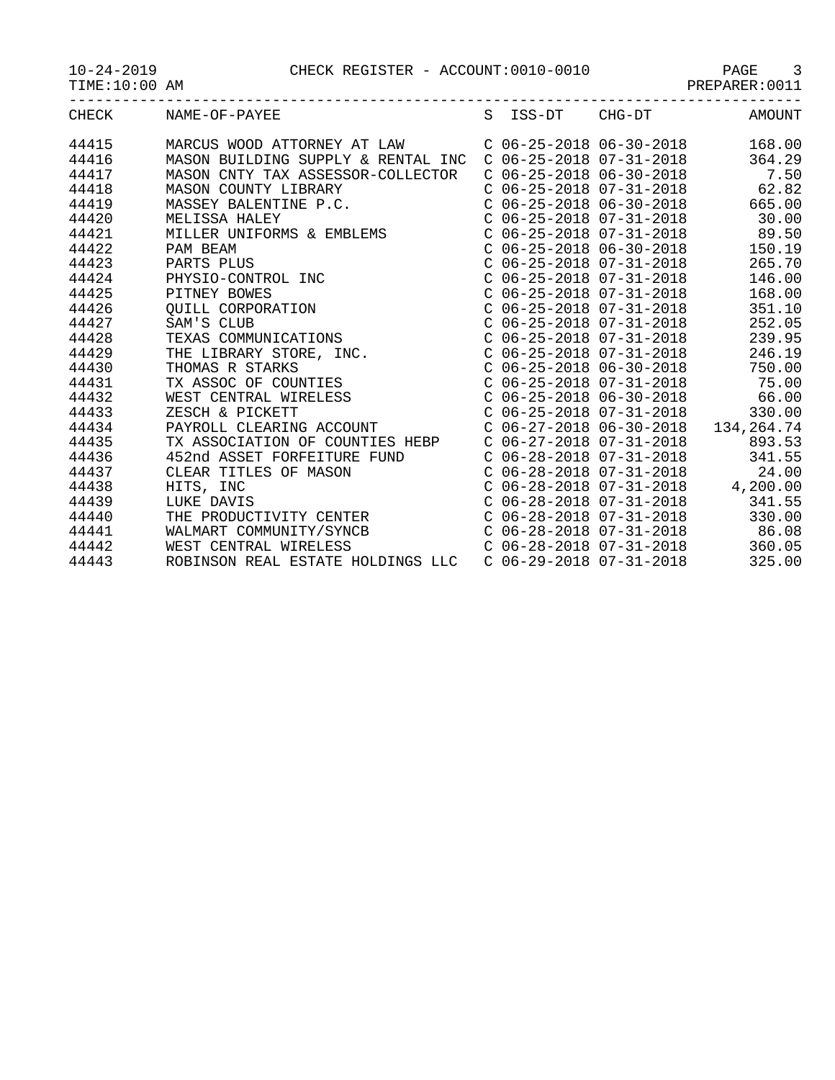10-24-2019 CHECK REGISTER - ACCOUNT:0010-0010 PAGE 3

|  | $10 - 24 - 2019$ |  |
|--|------------------|--|
|  |                  |  |

TIME:10:00 AM PREPARER:0011

| ____         |                               |  |    |             |              |
|--------------|-------------------------------|--|----|-------------|--------------|
| CHE<br>تنتلص | $\Lambda$ VLT<br>NAME.<br>הדר |  | nπ | $\neg$<br>. | . INE<br>⊿M′ |

| CHECK | NAME-OF-PAYEE                                      |  | S ISS-DT CHG-DT             | AMOUNT                               |
|-------|----------------------------------------------------|--|-----------------------------|--------------------------------------|
| 44415 | MARCUS WOOD ATTORNEY AT LAW                        |  | C $06-25-2018$ $06-30-2018$ | 168.00                               |
| 44416 | MASON BUILDING SUPPLY & RENTAL INC                 |  | $C$ 06-25-2018 07-31-2018   | 364.29                               |
| 44417 | MASON CNTY TAX ASSESSOR-COLLECTOR                  |  | $C$ 06-25-2018 06-30-2018   | 7.50                                 |
| 44418 | MASON COUNTY LIBRARY                               |  | $C$ 06-25-2018 07-31-2018   | 62.82                                |
| 44419 | MASSEY BALENTINE P.C.                              |  | $C$ 06-25-2018 06-30-2018   | 665.00                               |
| 44420 | MELISSA HALEY                                      |  | $C$ 06-25-2018 07-31-2018   | 30.00                                |
| 44421 | MELISSA HALEY<br>MILLER UNIFORMS & EMBLEMS         |  | C 06-25-2018 07-31-2018     | 89.50                                |
| 44422 | PAM BEAM                                           |  | $C$ 06-25-2018 06-30-2018   | 150.19                               |
| 44423 | PARTS PLUS<br>PHYSIO-CONTROL INC                   |  | $C$ 06-25-2018 07-31-2018   | 265.70                               |
| 44424 |                                                    |  | C 06-25-2018 07-31-2018     | 146.00                               |
| 44425 | PITNEY BOWES                                       |  | $C$ 06-25-2018 07-31-2018   | 168.00                               |
| 44426 | OUILL CORPORATION                                  |  | $C$ 06-25-2018 07-31-2018   | 351.10                               |
| 44427 | SAM'S CLUB                                         |  | $C$ 06-25-2018 07-31-2018   | 252.05                               |
| 44428 | TEXAS COMMUNICATIONS                               |  | $C$ 06-25-2018 07-31-2018   | 239.95                               |
| 44429 | THE LIBRARY STORE, INC.                            |  | $C$ 06-25-2018 07-31-2018   | 246.19                               |
| 44430 | THOMAS R STARKS                                    |  | $C$ 06-25-2018 06-30-2018   | 750.00                               |
| 44431 | TX ASSOC OF COUNTIES                               |  | C 06-25-2018 07-31-2018     | 75.00                                |
| 44432 | WEST CENTRAL WIRELESS<br>ZESCH & PICKETT           |  | $C$ 06-25-2018 06-30-2018   | 66.00                                |
| 44433 | ZESCH & PICKETT                                    |  | C 06-25-2018 07-31-2018     | 330.00                               |
| 44434 | PAYROLL CLEARING ACCOUNT                           |  |                             | $C$ 06-27-2018 06-30-2018 134,264.74 |
| 44435 | TX ASSOCIATION OF COUNTIES HEBP                    |  | $C$ 06-27-2018 07-31-2018   | 893.53                               |
| 44436 | 452nd ASSET FORFEITURE FUND                        |  | C 06-28-2018 07-31-2018     | 341.55                               |
| 44437 | CLEAR TITLES OF MASON                              |  | $C$ 06-28-2018 07-31-2018   | 24.00                                |
| 44438 | HITS, INC                                          |  |                             | $C$ 06-28-2018 07-31-2018 4,200.00   |
| 44439 | LUKE DAVIS<br>THE PRODUCTIVITY CENTER              |  | $C$ 06-28-2018 07-31-2018   | 341.55                               |
| 44440 |                                                    |  | $C$ 06-28-2018 07-31-2018   | 330.00                               |
| 44441 | WALMART COMMUNITY/SYNCB                            |  | $C$ 06-28-2018 07-31-2018   | 86.08                                |
| 44442 | $C$ 06-28-2018 07-31-2018<br>WEST CENTRAL WIRELESS |  |                             | 360.05                               |
| 44443 | ROBINSON REAL ESTATE HOLDINGS LLC                  |  | $C$ 06-29-2018 07-31-2018   | 325.00                               |